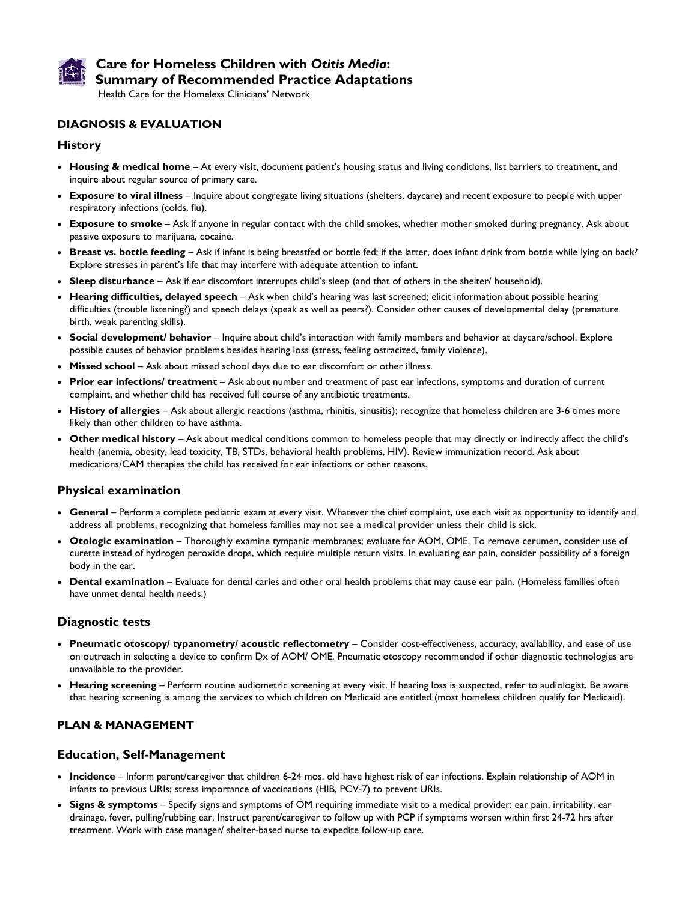

# **Care for Homeless Children with** *Otitis Media***: Summary of Recommended Practice Adaptations**

Health Care for the Homeless Clinicians' Network

## **DIAGNOSIS & EVALUATION**

#### **History**

- **Housing & medical home** At every visit, document patient's housing status and living conditions, list barriers to treatment, and inquire about regular source of primary care.
- **Exposure to viral illness** Inquire about congregate living situations (shelters, daycare) and recent exposure to people with upper respiratory infections (colds, flu).
- **Exposure to smoke**  Ask if anyone in regular contact with the child smokes, whether mother smoked during pregnancy. Ask about passive exposure to marijuana, cocaine.
- **Breast vs. bottle feeding** Ask if infant is being breastfed or bottle fed; if the latter, does infant drink from bottle while lying on back? Explore stresses in parent's life that may interfere with adequate attention to infant.
- **Sleep disturbance** Ask if ear discomfort interrupts child's sleep (and that of others in the shelter/ household).
- **Hearing difficulties, delayed speech**  Ask when child's hearing was last screened; elicit information about possible hearing difficulties (trouble listening?) and speech delays (speak as well as peers?). Consider other causes of developmental delay (premature birth, weak parenting skills).
- **Social development/ behavior** Inquire about child's interaction with family members and behavior at daycare/school. Explore possible causes of behavior problems besides hearing loss (stress, feeling ostracized, family violence).
- **Missed school** Ask about missed school days due to ear discomfort or other illness.
- **Prior ear infections/ treatment** Ask about number and treatment of past ear infections, symptoms and duration of current complaint, and whether child has received full course of any antibiotic treatments.
- **History of allergies** Ask about allergic reactions (asthma, rhinitis, sinusitis); recognize that homeless children are 3-6 times more likely than other children to have asthma.
- **Other medical history** Ask about medical conditions common to homeless people that may directly or indirectly affect the child's health (anemia, obesity, lead toxicity, TB, STDs, behavioral health problems, HIV). Review immunization record. Ask about medications/CAM therapies the child has received for ear infections or other reasons.

### **Physical examination**

- **General**  Perform a complete pediatric exam at every visit. Whatever the chief complaint, use each visit as opportunity to identify and address all problems, recognizing that homeless families may not see a medical provider unless their child is sick.
- **Otologic examination** Thoroughly examine tympanic membranes; evaluate for AOM, OME. To remove cerumen, consider use of curette instead of hydrogen peroxide drops, which require multiple return visits. In evaluating ear pain, consider possibility of a foreign body in the ear.
- **Dental examination** Evaluate for dental caries and other oral health problems that may cause ear pain. (Homeless families often have unmet dental health needs.)

### **Diagnostic tests**

- **Pneumatic otoscopy/ typanometry/ acoustic reflectometry**  Consider cost-effectiveness, accuracy, availability, and ease of use on outreach in selecting a device to confirm Dx of AOM/ OME. Pneumatic otoscopy recommended if other diagnostic technologies are unavailable to the provider.
- **Hearing screening**  Perform routine audiometric screening at every visit. If hearing loss is suspected, refer to audiologist. Be aware that hearing screening is among the services to which children on Medicaid are entitled (most homeless children qualify for Medicaid).

### **PLAN & MANAGEMENT**

### **Education, Self-Management**

- **Incidence** Inform parent/caregiver that children 6-24 mos. old have highest risk of ear infections. Explain relationship of AOM in infants to previous URIs; stress importance of vaccinations (HIB, PCV-7) to prevent URIs.
- **Signs & symptoms** Specify signs and symptoms of OM requiring immediate visit to a medical provider: ear pain, irritability, ear drainage, fever, pulling/rubbing ear. Instruct parent/caregiver to follow up with PCP if symptoms worsen within first 24-72 hrs after treatment. Work with case manager/ shelter-based nurse to expedite follow-up care.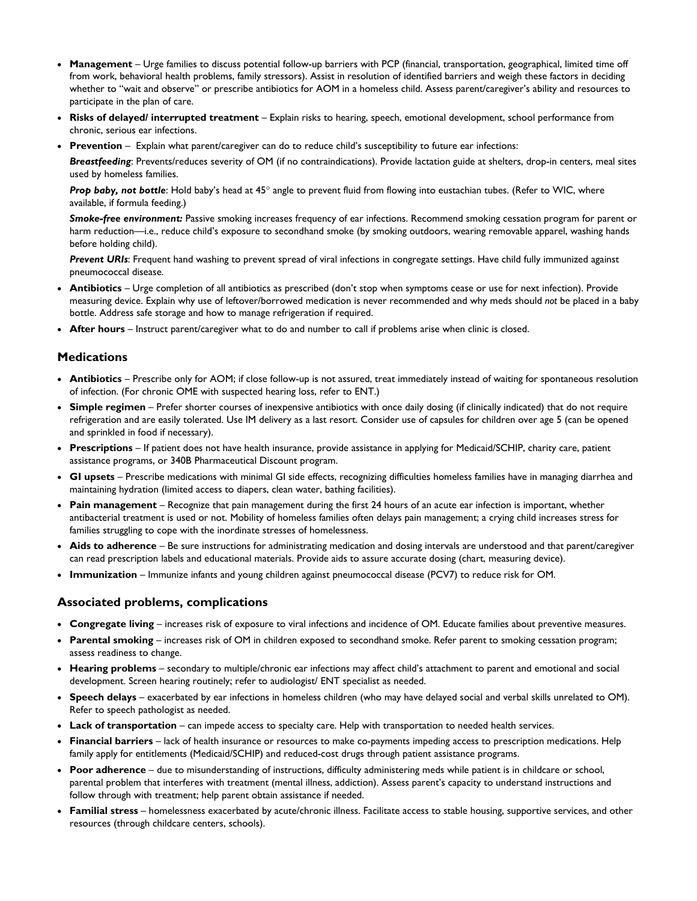- **Management**  Urge families to discuss potential follow-up barriers with PCP (financial, transportation, geographical, limited time off from work, behavioral health problems, family stressors). Assist in resolution of identified barriers and weigh these factors in deciding whether to "wait and observe" or prescribe antibiotics for AOM in a homeless child. Assess parent/caregiver's ability and resources to participate in the plan of care.
- **Risks of delayed/ interrupted treatment** Explain risks to hearing, speech, emotional development, school performance from chronic, serious ear infections.
- **Prevention** Explain what parent/caregiver can do to reduce child's susceptibility to future ear infections:

*Breastfeeding*: Prevents/reduces severity of OM (if no contraindications). Provide lactation guide at shelters, drop-in centers, meal sites used by homeless families.

Prop baby, not bottle: Hold baby's head at 45° angle to prevent fluid from flowing into eustachian tubes. (Refer to WIC, where available, if formula feeding.)

*Smoke-free environment:* Passive smoking increases frequency of ear infections. Recommend smoking cessation program for parent or harm reduction—i.e., reduce child's exposure to secondhand smoke (by smoking outdoors, wearing removable apparel, washing hands before holding child).

*Prevent URIs*: Frequent hand washing to prevent spread of viral infections in congregate settings. Have child fully immunized against pneumococcal disease.

- **Antibiotics** Urge completion of all antibiotics as prescribed (don't stop when symptoms cease or use for next infection). Provide measuring device. Explain why use of leftover/borrowed medication is never recommended and why meds should *not* be placed in a baby bottle. Address safe storage and how to manage refrigeration if required.
- **After hours** Instruct parent/caregiver what to do and number to call if problems arise when clinic is closed.

### **Medications**

- **Antibiotics** Prescribe only for AOM; if close follow-up is not assured, treat immediately instead of waiting for spontaneous resolution of infection. (For chronic OME with suspected hearing loss, refer to ENT.)
- **Simple regimen** Prefer shorter courses of inexpensive antibiotics with once daily dosing (if clinically indicated) that do not require refrigeration and are easily tolerated. Use IM delivery as a last resort. Consider use of capsules for children over age 5 (can be opened and sprinkled in food if necessary).
- **Prescriptions** If patient does not have health insurance, provide assistance in applying for Medicaid/SCHIP, charity care, patient assistance programs, or 340B Pharmaceutical Discount program.
- **GI upsets** Prescribe medications with minimal GI side effects, recognizing difficulties homeless families have in managing diarrhea and maintaining hydration (limited access to diapers, clean water, bathing facilities).
- **Pain management** Recognize that pain management during the first 24 hours of an acute ear infection is important, whether antibacterial treatment is used or not. Mobility of homeless families often delays pain management; a crying child increases stress for families struggling to cope with the inordinate stresses of homelessness.
- **Aids to adherence** Be sure instructions for administrating medication and dosing intervals are understood and that parent/caregiver can read prescription labels and educational materials. Provide aids to assure accurate dosing (chart, measuring device).
- **Immunization** Immunize infants and young children against pneumococcal disease (PCV7) to reduce risk for OM.

#### **Associated problems, complications**

- **Congregate living** increases risk of exposure to viral infections and incidence of OM. Educate families about preventive measures.
- **Parental smoking** increases risk of OM in children exposed to secondhand smoke. Refer parent to smoking cessation program; assess readiness to change.
- **Hearing problems** secondary to multiple/chronic ear infections may affect child's attachment to parent and emotional and social development. Screen hearing routinely; refer to audiologist/ ENT specialist as needed.
- **Speech delays** exacerbated by ear infections in homeless children (who may have delayed social and verbal skills unrelated to OM). Refer to speech pathologist as needed.
- **Lack of transportation** can impede access to specialty care. Help with transportation to needed health services.
- **Financial barriers**  lack of health insurance or resources to make co-payments impeding access to prescription medications. Help family apply for entitlements (Medicaid/SCHIP) and reduced-cost drugs through patient assistance programs.
- **Poor adherence** due to misunderstanding of instructions, difficulty administering meds while patient is in childcare or school, parental problem that interferes with treatment (mental illness, addiction). Assess parent's capacity to understand instructions and follow through with treatment; help parent obtain assistance if needed.
- **Familial stress** homelessness exacerbated by acute/chronic illness. Facilitate access to stable housing, supportive services, and other resources (through childcare centers, schools).